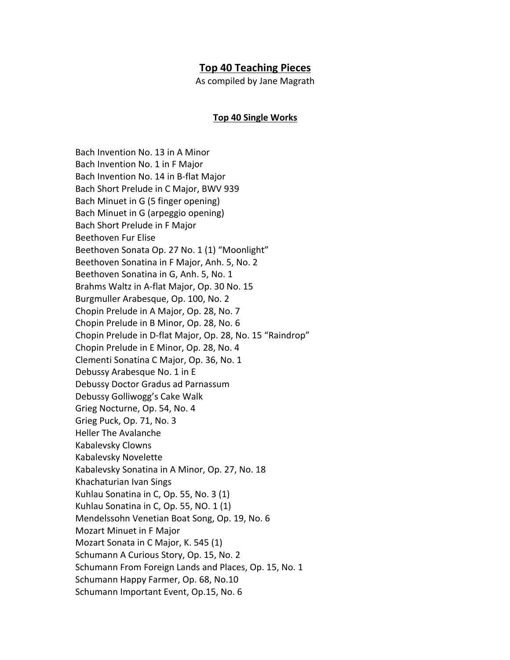## **Top 40 Teaching Pieces**

As compiled by Jane Magrath

## **Top 40 Single Works**

Bach Invention No. 13 in A Minor Bach Invention No. 1 in F Major Bach Invention No. 14 in B-flat Major Bach Short Prelude in C Major, BWV 939 Bach Minuet in G (5 finger opening) Bach Minuet in G (arpeggio opening) Bach Short Prelude in F Major Beethoven Fur Elise Beethoven Sonata Op. 27 No. 1 (1) "Moonlight" Beethoven Sonatina in F Major, Anh. 5, No. 2 Beethoven Sonatina in G, Anh. 5, No. 1 Brahms Waltz in A-flat Major, Op. 30 No. 15 Burgmuller Arabesque, Op. 100, No. 2 Chopin Prelude in A Major, Op. 28, No. 7 Chopin Prelude in B Minor, Op. 28, No. 6 Chopin Prelude in D-flat Major, Op. 28, No. 15 "Raindrop" Chopin Prelude in E Minor, Op. 28, No. 4 Clementi Sonatina C Major, Op. 36, No. 1 Debussy Arabesque No. 1 in E Debussy Doctor Gradus ad Parnassum Debussy Golliwogg's Cake Walk Grieg Nocturne, Op. 54, No. 4 Grieg Puck, Op. 71, No. 3 Heller The Avalanche Kabalevsky Clowns Kabalevsky Novelette Kabalevsky Sonatina in A Minor, Op. 27, No. 18 Khachaturian Ivan Sings Kuhlau Sonatina in C, Op. 55, No. 3 (1) Kuhlau Sonatina in C, Op. 55, NO. 1 (1) Mendelssohn Venetian Boat Song, Op. 19, No. 6 Mozart Minuet in F Major Mozart Sonata in C Major, K. 545 (1) Schumann A Curious Story, Op. 15, No. 2 Schumann From Foreign Lands and Places, Op. 15, No. 1 Schumann Happy Farmer, Op. 68, No.10 Schumann Important Event, Op.15, No. 6